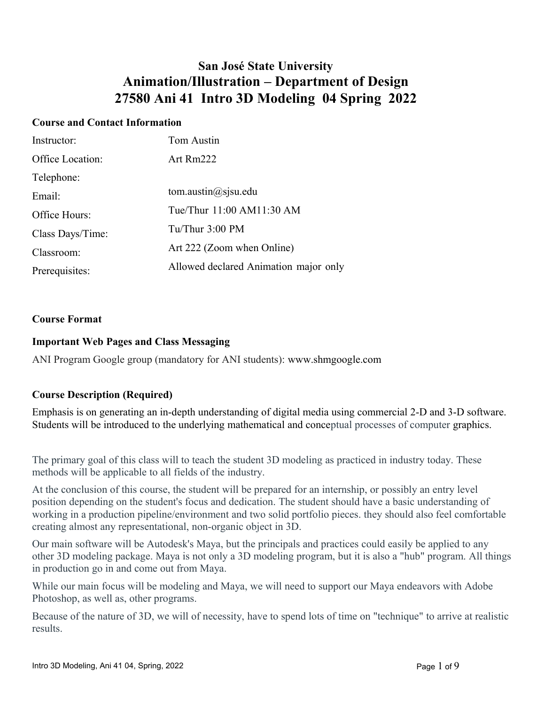## **San José State University Animation/Illustration – Department of Design 27580 Ani 41 Intro 3D Modeling 04 Spring 2022**

## **Course and Contact Information**

| Instructor:      | Tom Austin                            |
|------------------|---------------------------------------|
| Office Location: | Art Rm222                             |
| Telephone:       |                                       |
| Email:           | tom.austin $\omega$ sjsu.edu          |
| Office Hours:    | Tue/Thur 11:00 AM11:30 AM             |
| Class Days/Time: | Tu/Thur $3:00$ PM                     |
| Classroom:       | Art 222 (Zoom when Online)            |
| Prerequisites:   | Allowed declared Animation major only |

#### **Course Format**

#### **Important Web Pages and Class Messaging**

ANI Program Google group (mandatory for ANI students): www.shmgoogle.com

#### **Course Description (Required)**

Emphasis is on generating an in-depth understanding of digital media using commercial 2-D and 3-D software. Students will be introduced to the underlying mathematical and conceptual processes of computer graphics.

The primary goal of this class will to teach the student 3D modeling as practiced in industry today. These methods will be applicable to all fields of the industry.

At the conclusion of this course, the student will be prepared for an internship, or possibly an entry level position depending on the student's focus and dedication. The student should have a basic understanding of working in a production pipeline/environment and two solid portfolio pieces. they should also feel comfortable creating almost any representational, non-organic object in 3D.

Our main software will be Autodesk's Maya, but the principals and practices could easily be applied to any other 3D modeling package. Maya is not only a 3D modeling program, but it is also a "hub" program. All things in production go in and come out from Maya.

While our main focus will be modeling and Maya, we will need to support our Maya endeavors with Adobe Photoshop, as well as, other programs.

Because of the nature of 3D, we will of necessity, have to spend lots of time on "technique" to arrive at realistic results.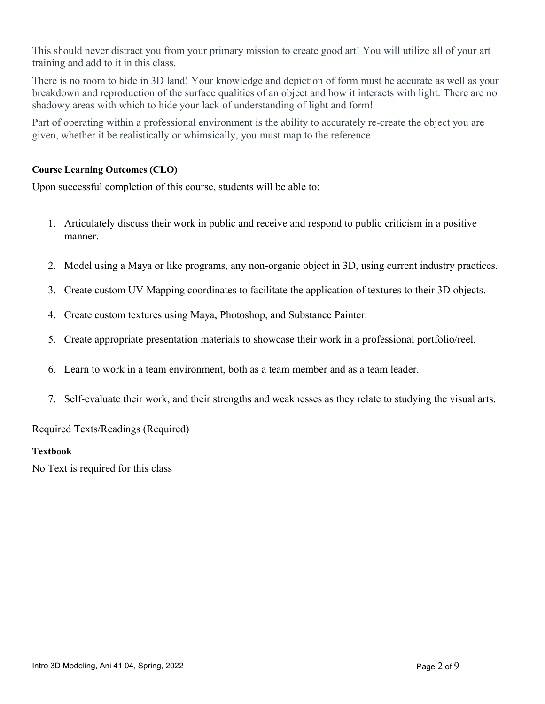This should never distract you from your primary mission to create good art! You will utilize all of your art training and add to it in this class.

There is no room to hide in 3D land! Your knowledge and depiction of form must be accurate as well as your breakdown and reproduction of the surface qualities of an object and how it interacts with light. There are no shadowy areas with which to hide your lack of understanding of light and form!

Part of operating within a professional environment is the ability to accurately re-create the object you are given, whether it be realistically or whimsically, you must map to the reference

### **Course Learning Outcomes (CLO)**

Upon successful completion of this course, students will be able to:

- 1. Articulately discuss their work in public and receive and respond to public criticism in a positive manner.
- 2. Model using a Maya or like programs, any non-organic object in 3D, using current industry practices.
- 3. Create custom UV Mapping coordinates to facilitate the application of textures to their 3D objects.
- 4. Create custom textures using Maya, Photoshop, and Substance Painter.
- 5. Create appropriate presentation materials to showcase their work in a professional portfolio/reel.
- 6. Learn to work in a team environment, both as a team member and as a team leader.
- 7. Self-evaluate their work, and their strengths and weaknesses as they relate to studying the visual arts.

Required Texts/Readings (Required)

#### **Textbook**

No Text is required for this class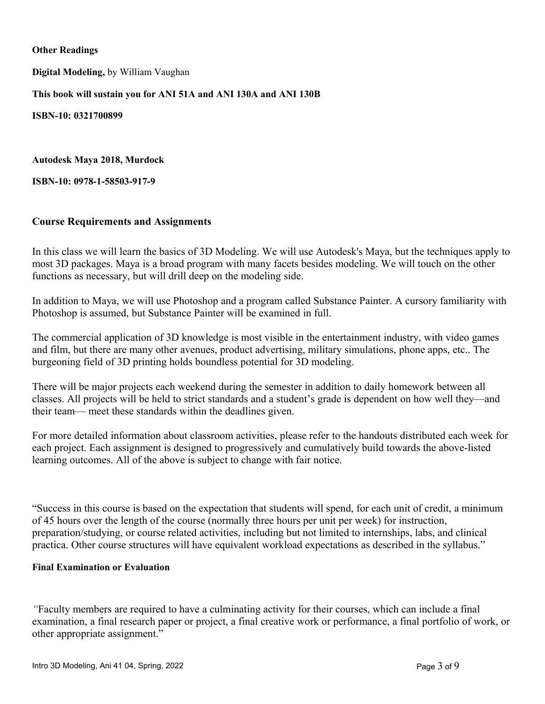#### **Other Readings**

**Digital Modeling,** by William Vaughan

**This book will sustain you for ANI 51A and ANI 130A and ANI 130B**

**ISBN-10: 0321700899**

**Autodesk Maya 2018, Murdock**

**ISBN-10: 0978-1-58503-917-9**

#### **Course Requirements and Assignments**

In this class we will learn the basics of 3D Modeling. We will use Autodesk's Maya, but the techniques apply to most 3D packages. Maya is a broad program with many facets besides modeling. We will touch on the other functions as necessary, but will drill deep on the modeling side.

In addition to Maya, we will use Photoshop and a program called Substance Painter. A cursory familiarity with Photoshop is assumed, but Substance Painter will be examined in full.

The commercial application of 3D knowledge is most visible in the entertainment industry, with video games and film, but there are many other avenues, product advertising, military simulations, phone apps, etc.. The burgeoning field of 3D printing holds boundless potential for 3D modeling.

There will be major projects each weekend during the semester in addition to daily homework between all classes. All projects will be held to strict standards and a student's grade is dependent on how well they—and their team— meet these standards within the deadlines given.

For more detailed information about classroom activities, please refer to the handouts distributed each week for each project. Each assignment is designed to progressively and cumulatively build towards the above-listed learning outcomes. All of the above is subject to change with fair notice.

"Success in this course is based on the expectation that students will spend, for each unit of credit, a minimum of 45 hours over the length of the course (normally three hours per unit per week) for instruction, preparation/studying, or course related activities, including but not limited to internships, labs, and clinical practica. Other course structures will have equivalent workload expectations as described in the syllabus."

#### **Final Examination or Evaluation**

*"*Faculty members are required to have a culminating activity for their courses, which can include a final examination, a final research paper or project, a final creative work or performance, a final portfolio of work, or other appropriate assignment."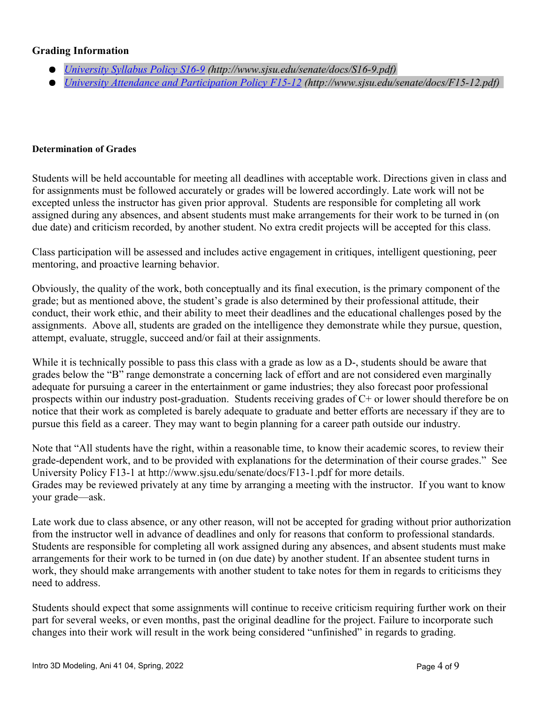### **Grading Information**

- *[University Syllabus Policy S16-9](http://www.sjsu.edu/senate/docs/S16-9.pdf) (http://www.sjsu.edu/senate/docs/S16-9.pdf)*
- *[University Attendance and Participation Policy F15-12](about:blank) (http://www.sjsu.edu/senate/docs/F15-12.pdf)*

#### **Determination of Grades**

Students will be held accountable for meeting all deadlines with acceptable work. Directions given in class and for assignments must be followed accurately or grades will be lowered accordingly. Late work will not be excepted unless the instructor has given prior approval. Students are responsible for completing all work assigned during any absences, and absent students must make arrangements for their work to be turned in (on due date) and criticism recorded, by another student. No extra credit projects will be accepted for this class.

Class participation will be assessed and includes active engagement in critiques, intelligent questioning, peer mentoring, and proactive learning behavior.

Obviously, the quality of the work, both conceptually and its final execution, is the primary component of the grade; but as mentioned above, the student's grade is also determined by their professional attitude, their conduct, their work ethic, and their ability to meet their deadlines and the educational challenges posed by the assignments. Above all, students are graded on the intelligence they demonstrate while they pursue, question, attempt, evaluate, struggle, succeed and/or fail at their assignments.

While it is technically possible to pass this class with a grade as low as a D-, students should be aware that grades below the "B" range demonstrate a concerning lack of effort and are not considered even marginally adequate for pursuing a career in the entertainment or game industries; they also forecast poor professional prospects within our industry post-graduation. Students receiving grades of C+ or lower should therefore be on notice that their work as completed is barely adequate to graduate and better efforts are necessary if they are to pursue this field as a career. They may want to begin planning for a career path outside our industry.

Note that "All students have the right, within a reasonable time, to know their academic scores, to review their grade-dependent work, and to be provided with explanations for the determination of their course grades." See University Policy F13-1 at http://www.sjsu.edu/senate/docs/F13-1.pdf for more details. Grades may be reviewed privately at any time by arranging a meeting with the instructor. If you want to know your grade—ask.

Late work due to class absence, or any other reason, will not be accepted for grading without prior authorization from the instructor well in advance of deadlines and only for reasons that conform to professional standards. Students are responsible for completing all work assigned during any absences, and absent students must make arrangements for their work to be turned in (on due date) by another student. If an absentee student turns in work, they should make arrangements with another student to take notes for them in regards to criticisms they need to address.

Students should expect that some assignments will continue to receive criticism requiring further work on their part for several weeks, or even months, past the original deadline for the project. Failure to incorporate such changes into their work will result in the work being considered "unfinished" in regards to grading.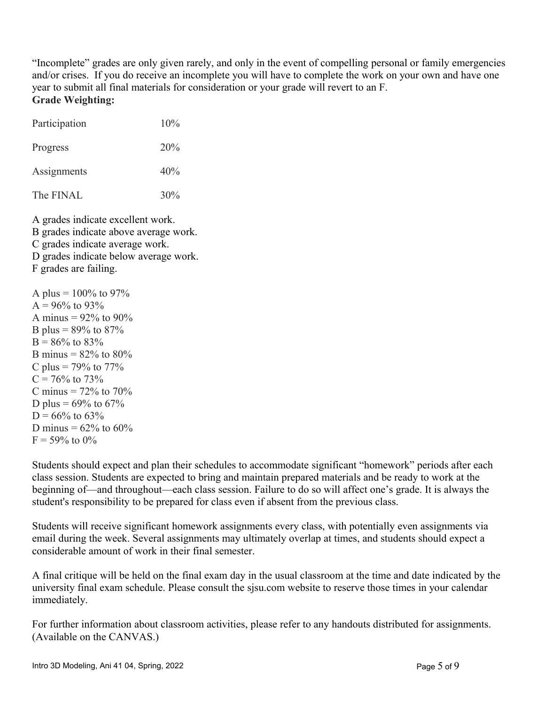"Incomplete" grades are only given rarely, and only in the event of compelling personal or family emergencies and/or crises. If you do receive an incomplete you will have to complete the work on your own and have one year to submit all final materials for consideration or your grade will revert to an F. **Grade Weighting:**

| Participation | 10% |
|---------------|-----|
| Progress      | 20% |
| Assignments   | 40% |
| The FINAL     | 30% |

A grades indicate excellent work. B grades indicate above average work. C grades indicate average work. D grades indicate below average work. F grades are failing.

A plus =  $100\%$  to 97%  $A = 96\%$  to 93% A minus =  $92\%$  to  $90\%$ B plus =  $89\%$  to  $87\%$  $B = 86\%$  to 83% B minus =  $82\%$  to  $80\%$ C plus =  $79\%$  to  $77\%$  $C = 76\%$  to  $73\%$ C minus =  $72\%$  to  $70\%$ D plus =  $69\%$  to  $67\%$  $D = 66\%$  to 63\% D minus =  $62\%$  to  $60\%$  $F = 59\%$  to 0%

Students should expect and plan their schedules to accommodate significant "homework" periods after each class session. Students are expected to bring and maintain prepared materials and be ready to work at the beginning of—and throughout—each class session. Failure to do so will affect one's grade. It is always the student's responsibility to be prepared for class even if absent from the previous class.

Students will receive significant homework assignments every class, with potentially even assignments via email during the week. Several assignments may ultimately overlap at times, and students should expect a considerable amount of work in their final semester.

A final critique will be held on the final exam day in the usual classroom at the time and date indicated by the university final exam schedule. Please consult the sjsu.com website to reserve those times in your calendar immediately.

For further information about classroom activities, please refer to any handouts distributed for assignments. (Available on the CANVAS.)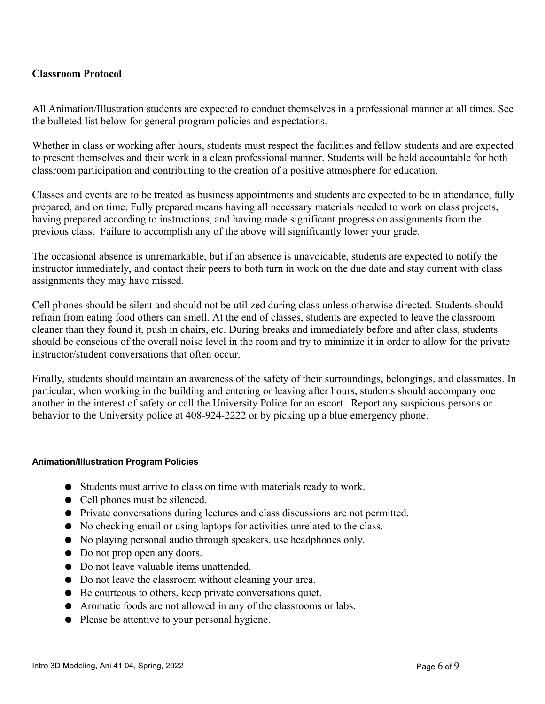## **Classroom Protocol**

All Animation/Illustration students are expected to conduct themselves in a professional manner at all times. See the bulleted list below for general program policies and expectations.

Whether in class or working after hours, students must respect the facilities and fellow students and are expected to present themselves and their work in a clean professional manner. Students will be held accountable for both classroom participation and contributing to the creation of a positive atmosphere for education.

Classes and events are to be treated as business appointments and students are expected to be in attendance, fully prepared, and on time. Fully prepared means having all necessary materials needed to work on class projects, having prepared according to instructions, and having made significant progress on assignments from the previous class. Failure to accomplish any of the above will significantly lower your grade.

The occasional absence is unremarkable, but if an absence is unavoidable, students are expected to notify the instructor immediately, and contact their peers to both turn in work on the due date and stay current with class assignments they may have missed.

Cell phones should be silent and should not be utilized during class unless otherwise directed. Students should refrain from eating food others can smell. At the end of classes, students are expected to leave the classroom cleaner than they found it, push in chairs, etc. During breaks and immediately before and after class, students should be conscious of the overall noise level in the room and try to minimize it in order to allow for the private instructor/student conversations that often occur.

Finally, students should maintain an awareness of the safety of their surroundings, belongings, and classmates. In particular, when working in the building and entering or leaving after hours, students should accompany one another in the interest of safety or call the University Police for an escort. Report any suspicious persons or behavior to the University police at 408-924-2222 or by picking up a blue emergency phone.

#### **Animation/Illustration Program Policies**

- Students must arrive to class on time with materials ready to work.
- Cell phones must be silenced.
- Private conversations during lectures and class discussions are not permitted.
- No checking email or using laptops for activities unrelated to the class.
- No playing personal audio through speakers, use headphones only.
- Do not prop open any doors.
- Do not leave valuable items unattended.
- Do not leave the classroom without cleaning your area.
- Be courteous to others, keep private conversations quiet.
- Aromatic foods are not allowed in any of the classrooms or labs.
- Please be attentive to your personal hygiene.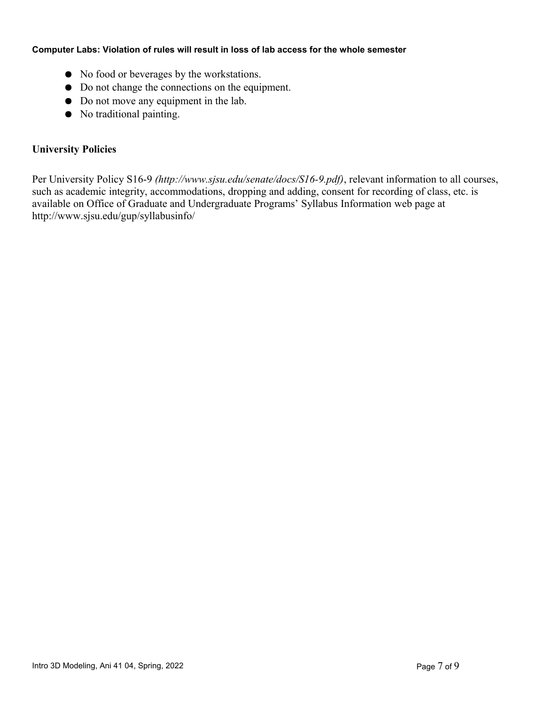#### **Computer Labs: Violation of rules will result in loss of lab access for the whole semester**

- No food or beverages by the workstations.
- Do not change the connections on the equipment.
- Do not move any equipment in the lab.
- No traditional painting.

## **University Policies**

Per University Policy S16-9 *(http://www.sjsu.edu/senate/docs/S16-9.pdf)*, relevant information to all courses, such as academic integrity, accommodations, dropping and adding, consent for recording of class, etc. is available on Office of Graduate and Undergraduate Programs' Syllabus Information web page at http://www.sjsu.edu/gup/syllabusinfo/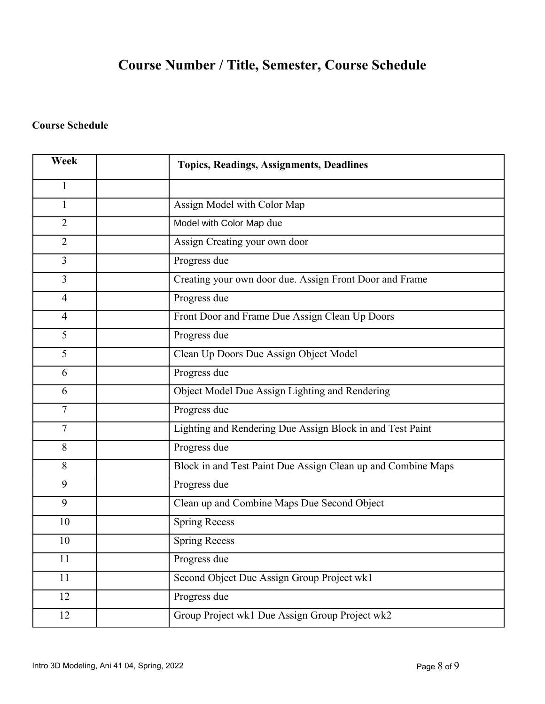# **Course Number / Title, Semester, Course Schedule**

## **Course Schedule**

| Week           | <b>Topics, Readings, Assignments, Deadlines</b>              |
|----------------|--------------------------------------------------------------|
| $\mathbf{1}$   |                                                              |
| $\mathbf{1}$   | Assign Model with Color Map                                  |
| $\overline{2}$ | Model with Color Map due                                     |
| $\overline{2}$ | Assign Creating your own door                                |
| $\overline{3}$ | Progress due                                                 |
| $\overline{3}$ | Creating your own door due. Assign Front Door and Frame      |
| $\overline{4}$ | Progress due                                                 |
| $\overline{4}$ | Front Door and Frame Due Assign Clean Up Doors               |
| 5              | Progress due                                                 |
| 5              | Clean Up Doors Due Assign Object Model                       |
| 6              | Progress due                                                 |
| 6              | Object Model Due Assign Lighting and Rendering               |
| 7              | Progress due                                                 |
| 7              | Lighting and Rendering Due Assign Block in and Test Paint    |
| 8              | Progress due                                                 |
| 8              | Block in and Test Paint Due Assign Clean up and Combine Maps |
| 9              | Progress due                                                 |
| 9              | Clean up and Combine Maps Due Second Object                  |
| 10             | <b>Spring Recess</b>                                         |
| 10             | <b>Spring Recess</b>                                         |
| 11             | Progress due                                                 |
| 11             | Second Object Due Assign Group Project wk1                   |
| 12             | Progress due                                                 |
| 12             | Group Project wk1 Due Assign Group Project wk2               |